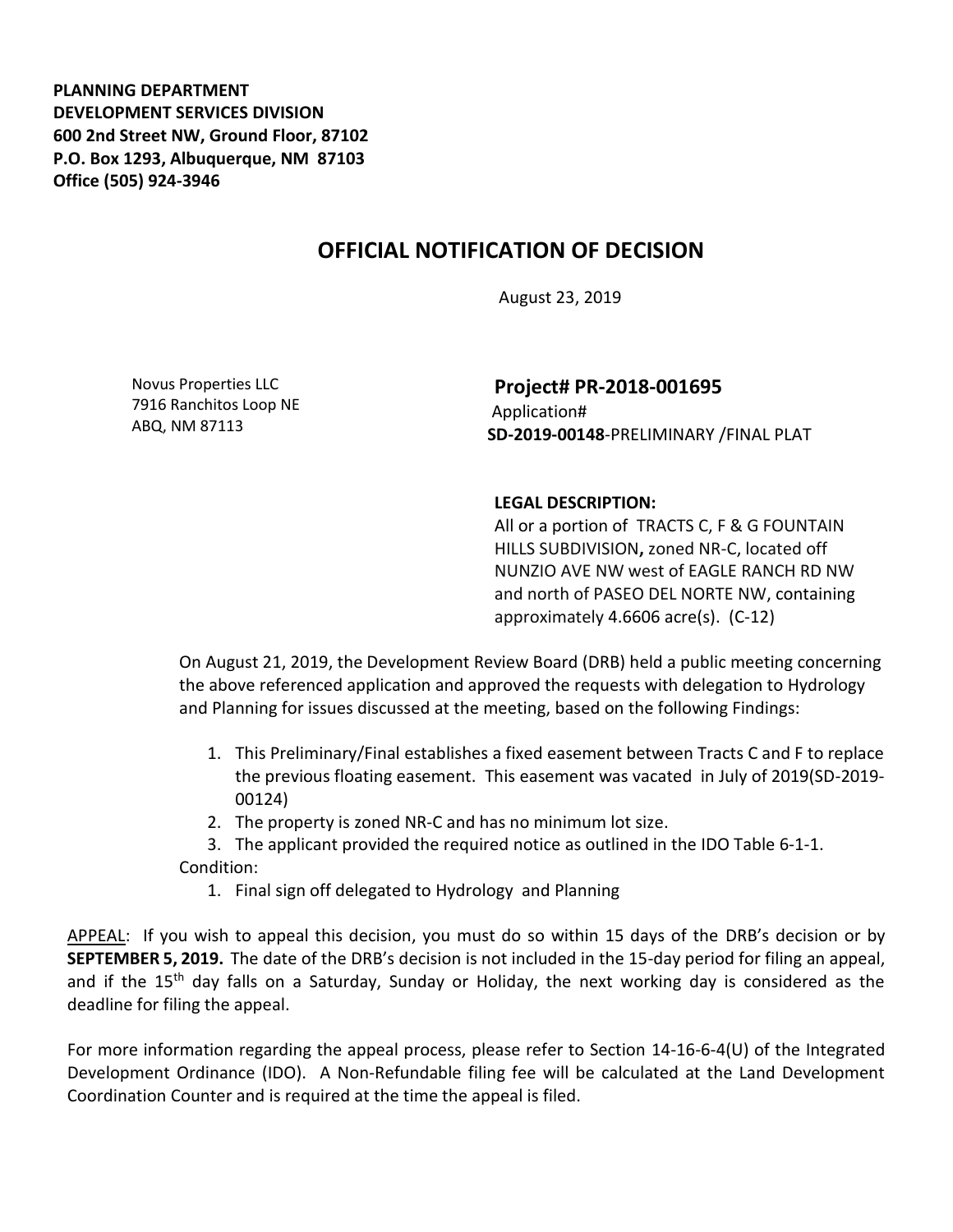**PLANNING DEPARTMENT DEVELOPMENT SERVICES DIVISION 600 2nd Street NW, Ground Floor, 87102 P.O. Box 1293, Albuquerque, NM 87103 Office (505) 924-3946** 

## **OFFICIAL NOTIFICATION OF DECISION**

August 23, 2019

Novus Properties LLC 7916 Ranchitos Loop NE ABQ, NM 87113

**Project# PR-2018-001695** Application# **SD-2019-00148**-PRELIMINARY /FINAL PLAT

## **LEGAL DESCRIPTION:**

All or a portion of TRACTS C, F & G FOUNTAIN HILLS SUBDIVISION**,** zoned NR-C, located off NUNZIO AVE NW west of EAGLE RANCH RD NW and north of PASEO DEL NORTE NW, containing approximately 4.6606 acre(s). (C-12)

On August 21, 2019, the Development Review Board (DRB) held a public meeting concerning the above referenced application and approved the requests with delegation to Hydrology and Planning for issues discussed at the meeting, based on the following Findings:

- 1. This Preliminary/Final establishes a fixed easement between Tracts C and F to replace the previous floating easement. This easement was vacated in July of 2019(SD-2019- 00124)
- 2. The property is zoned NR-C and has no minimum lot size.
- 3. The applicant provided the required notice as outlined in the IDO Table 6-1-1.

Condition:

1. Final sign off delegated to Hydrology and Planning

APPEAL: If you wish to appeal this decision, you must do so within 15 days of the DRB's decision or by **SEPTEMBER 5, 2019.** The date of the DRB's decision is not included in the 15-day period for filing an appeal, and if the 15<sup>th</sup> day falls on a Saturday, Sunday or Holiday, the next working day is considered as the deadline for filing the appeal.

For more information regarding the appeal process, please refer to Section 14-16-6-4(U) of the Integrated Development Ordinance (IDO). A Non-Refundable filing fee will be calculated at the Land Development Coordination Counter and is required at the time the appeal is filed.